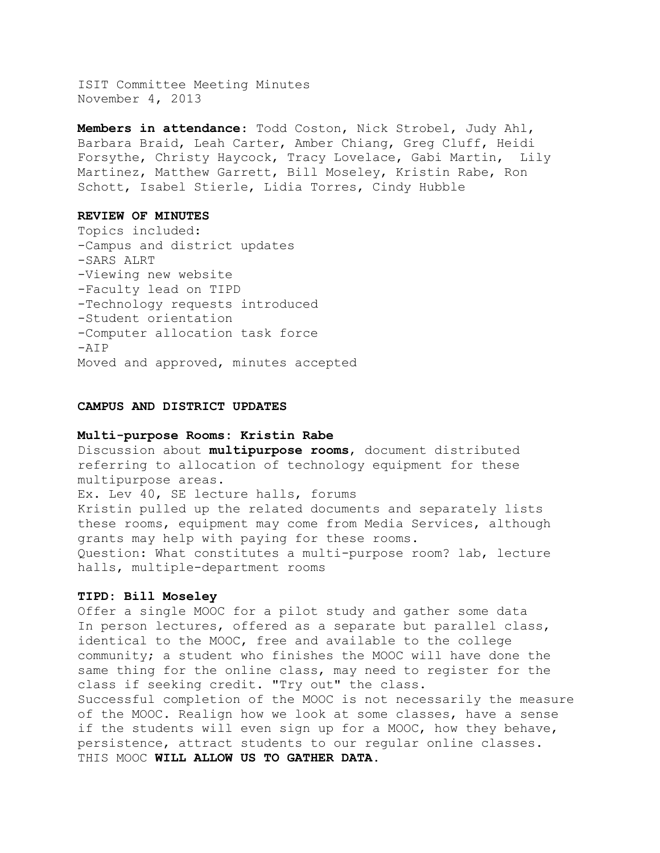ISIT Committee Meeting Minutes November 4, 2013

**Members in attendance**: Todd Coston, Nick Strobel, Judy Ahl, Barbara Braid, Leah Carter, Amber Chiang, Greg Cluff, Heidi Forsythe, Christy Haycock, Tracy Lovelace, Gabi Martin, Lily Martinez, Matthew Garrett, Bill Moseley, Kristin Rabe, Ron Schott, Isabel Stierle, Lidia Torres, Cindy Hubble

## **REVIEW OF MINUTES**

Topics included: -Campus and district updates -SARS ALRT -Viewing new website -Faculty lead on TIPD -Technology requests introduced -Student orientation -Computer allocation task force -AIP Moved and approved, minutes accepted

#### **CAMPUS AND DISTRICT UPDATES**

# **Multi-purpose Rooms: Kristin Rabe**

Discussion about **multipurpose rooms**, document distributed referring to allocation of technology equipment for these multipurpose areas. Ex. Lev 40, SE lecture halls, forums Kristin pulled up the related documents and separately lists these rooms, equipment may come from Media Services, although grants may help with paying for these rooms. Question: What constitutes a multi-purpose room? lab, lecture halls, multiple-department rooms

#### **TIPD: Bill Moseley**

Offer a single MOOC for a pilot study and gather some data In person lectures, offered as a separate but parallel class, identical to the MOOC, free and available to the college community; a student who finishes the MOOC will have done the same thing for the online class, may need to register for the class if seeking credit. "Try out" the class. Successful completion of the MOOC is not necessarily the measure of the MOOC. Realign how we look at some classes, have a sense if the students will even sign up for a MOOC, how they behave, persistence, attract students to our regular online classes. THIS MOOC **WILL ALLOW US TO GATHER DATA.**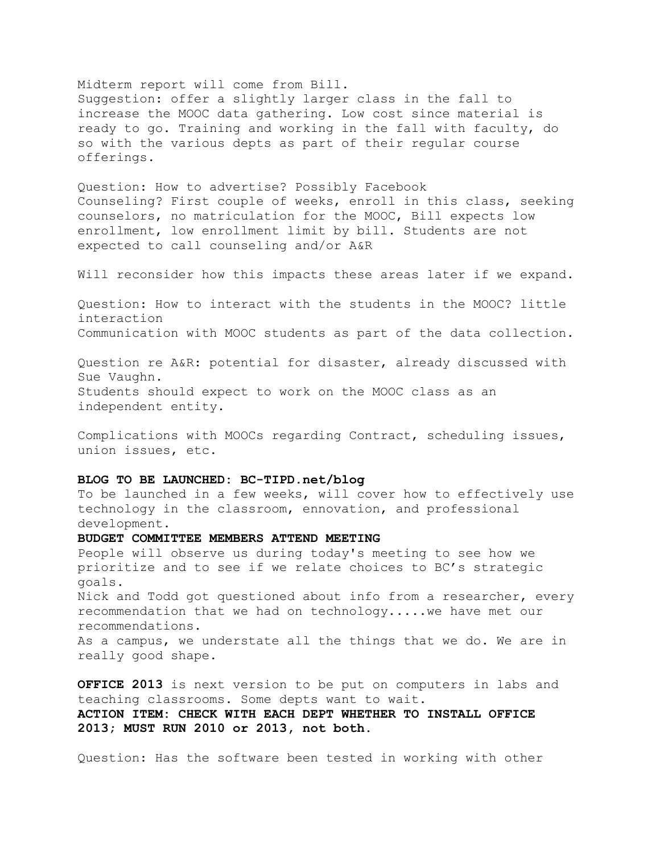### Midterm report will come from Bill.

Suggestion: offer a slightly larger class in the fall to increase the MOOC data gathering. Low cost since material is ready to go. Training and working in the fall with faculty, do so with the various depts as part of their regular course offerings.

Question: How to advertise? Possibly Facebook Counseling? First couple of weeks, enroll in this class, seeking counselors, no matriculation for the MOOC, Bill expects low enrollment, low enrollment limit by bill. Students are not expected to call counseling and/or A&R

Will reconsider how this impacts these areas later if we expand.

Question: How to interact with the students in the MOOC? little interaction Communication with MOOC students as part of the data collection.

Question re A&R: potential for disaster, already discussed with Sue Vaughn. Students should expect to work on the MOOC class as an independent entity.

Complications with MOOCs regarding Contract, scheduling issues, union issues, etc.

# **BLOG TO BE LAUNCHED: BC-TIPD.net/blog**

To be launched in a few weeks, will cover how to effectively use technology in the classroom, ennovation, and professional development.

### **BUDGET COMMITTEE MEMBERS ATTEND MEETING**

People will observe us during today's meeting to see how we prioritize and to see if we relate choices to BC's strategic goals. Nick and Todd got questioned about info from a researcher, every recommendation that we had on technology.....we have met our recommendations. As a campus, we understate all the things that we do. We are in

really good shape. **OFFICE 2013** is next version to be put on computers in labs and

teaching classrooms. Some depts want to wait. **ACTION ITEM: CHECK WITH EACH DEPT WHETHER TO INSTALL OFFICE 2013; MUST RUN 2010 or 2013, not both**.

Question: Has the software been tested in working with other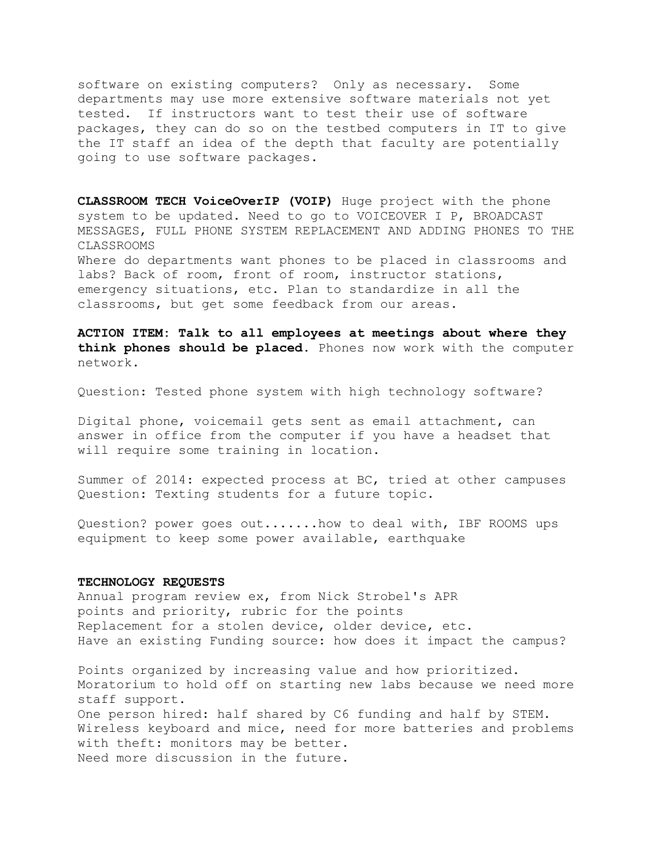software on existing computers? Only as necessary. Some departments may use more extensive software materials not yet tested. If instructors want to test their use of software packages, they can do so on the testbed computers in IT to give the IT staff an idea of the depth that faculty are potentially going to use software packages.

**CLASSROOM TECH VoiceOverIP (VOIP)** Huge project with the phone system to be updated. Need to go to VOICEOVER I P, BROADCAST MESSAGES, FULL PHONE SYSTEM REPLACEMENT AND ADDING PHONES TO THE CLASSROOMS

Where do departments want phones to be placed in classrooms and labs? Back of room, front of room, instructor stations, emergency situations, etc. Plan to standardize in all the classrooms, but get some feedback from our areas.

**ACTION ITEM: Talk to all employees at meetings about where they think phones should be placed.** Phones now work with the computer network.

Question: Tested phone system with high technology software?

Digital phone, voicemail gets sent as email attachment, can answer in office from the computer if you have a headset that will require some training in location.

Summer of 2014: expected process at BC, tried at other campuses Question: Texting students for a future topic.

Question? power goes out.......how to deal with, IBF ROOMS ups equipment to keep some power available, earthquake

## **TECHNOLOGY REQUESTS**

Annual program review ex, from Nick Strobel's APR points and priority, rubric for the points Replacement for a stolen device, older device, etc. Have an existing Funding source: how does it impact the campus?

Points organized by increasing value and how prioritized. Moratorium to hold off on starting new labs because we need more staff support. One person hired: half shared by C6 funding and half by STEM. Wireless keyboard and mice, need for more batteries and problems with theft: monitors may be better. Need more discussion in the future.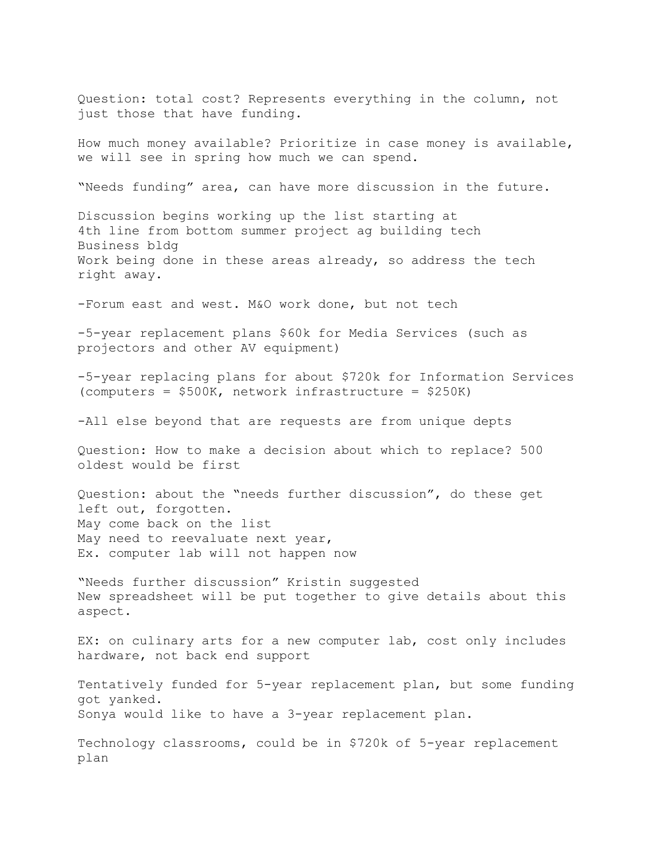Question: total cost? Represents everything in the column, not just those that have funding.

How much money available? Prioritize in case money is available, we will see in spring how much we can spend.

"Needs funding" area, can have more discussion in the future.

Discussion begins working up the list starting at 4th line from bottom summer project ag building tech Business bldg Work being done in these areas already, so address the tech right away.

-Forum east and west. M&O work done, but not tech

-5-year replacement plans \$60k for Media Services (such as projectors and other AV equipment)

-5-year replacing plans for about \$720k for Information Services (computers = \$500K, network infrastructure = \$250K)

-All else beyond that are requests are from unique depts

Question: How to make a decision about which to replace? 500 oldest would be first

Question: about the "needs further discussion", do these get left out, forgotten. May come back on the list May need to reevaluate next year, Ex. computer lab will not happen now

"Needs further discussion" Kristin suggested New spreadsheet will be put together to give details about this aspect.

EX: on culinary arts for a new computer lab, cost only includes hardware, not back end support

Tentatively funded for 5-year replacement plan, but some funding got yanked. Sonya would like to have a 3-year replacement plan.

Technology classrooms, could be in \$720k of 5-year replacement plan